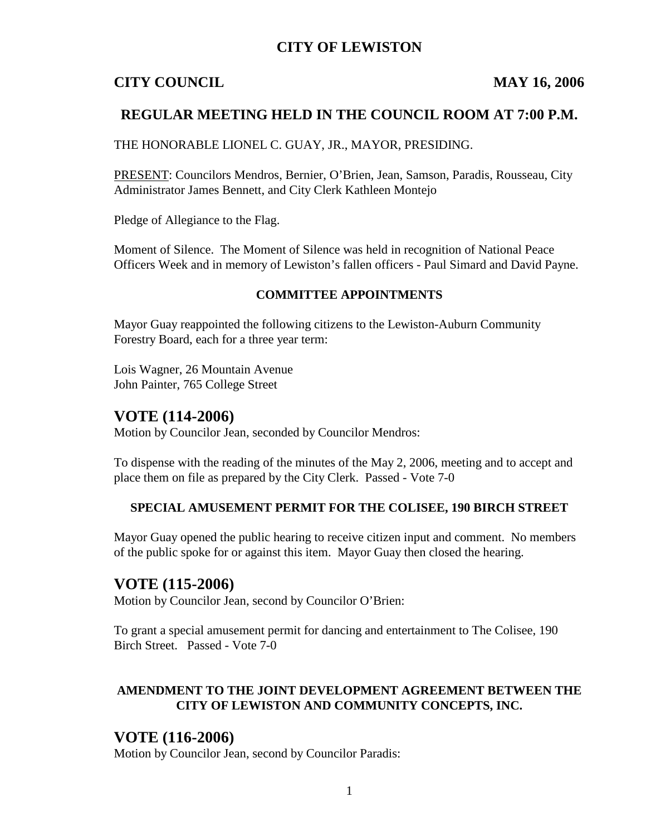## **CITY OF LEWISTON**

## **CITY COUNCIL MAY 16, 2006**

## **REGULAR MEETING HELD IN THE COUNCIL ROOM AT 7:00 P.M.**

THE HONORABLE LIONEL C. GUAY, JR., MAYOR, PRESIDING.

PRESENT: Councilors Mendros, Bernier, O'Brien, Jean, Samson, Paradis, Rousseau, City Administrator James Bennett, and City Clerk Kathleen Montejo

Pledge of Allegiance to the Flag.

Moment of Silence. The Moment of Silence was held in recognition of National Peace Officers Week and in memory of Lewiston's fallen officers - Paul Simard and David Payne.

#### **COMMITTEE APPOINTMENTS**

Mayor Guay reappointed the following citizens to the Lewiston-Auburn Community Forestry Board, each for a three year term:

Lois Wagner, 26 Mountain Avenue John Painter, 765 College Street

#### **VOTE (114-2006)**

Motion by Councilor Jean, seconded by Councilor Mendros:

To dispense with the reading of the minutes of the May 2, 2006, meeting and to accept and place them on file as prepared by the City Clerk. Passed - Vote 7-0

#### **SPECIAL AMUSEMENT PERMIT FOR THE COLISEE, 190 BIRCH STREET**

Mayor Guay opened the public hearing to receive citizen input and comment. No members of the public spoke for or against this item. Mayor Guay then closed the hearing.

## **VOTE (115-2006)**

Motion by Councilor Jean, second by Councilor O'Brien:

To grant a special amusement permit for dancing and entertainment to The Colisee, 190 Birch Street. Passed - Vote 7-0

#### **AMENDMENT TO THE JOINT DEVELOPMENT AGREEMENT BETWEEN THE CITY OF LEWISTON AND COMMUNITY CONCEPTS, INC.**

## **VOTE (116-2006)**

Motion by Councilor Jean, second by Councilor Paradis: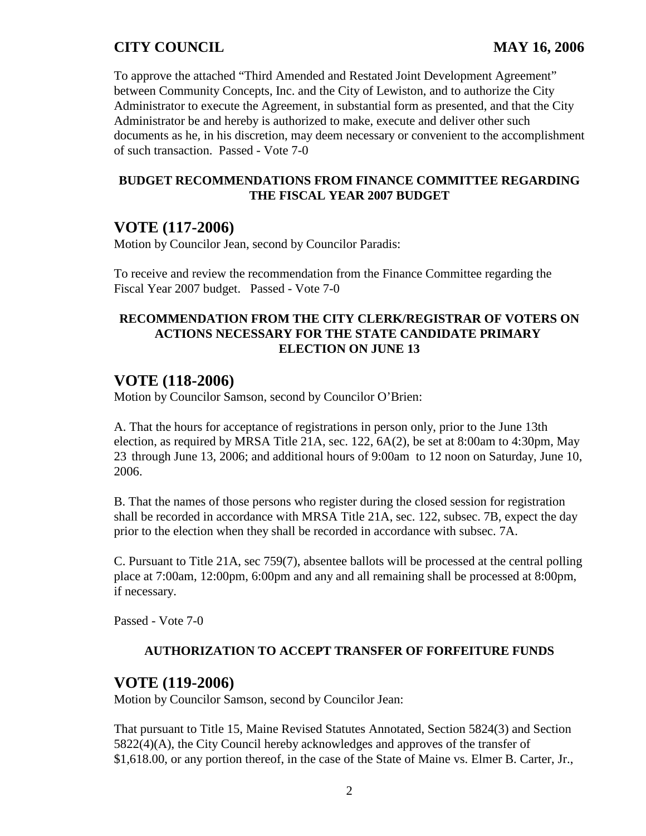To approve the attached "Third Amended and Restated Joint Development Agreement" between Community Concepts, Inc. and the City of Lewiston, and to authorize the City Administrator to execute the Agreement, in substantial form as presented, and that the City Administrator be and hereby is authorized to make, execute and deliver other such documents as he, in his discretion, may deem necessary or convenient to the accomplishment of such transaction. Passed - Vote 7-0

#### **BUDGET RECOMMENDATIONS FROM FINANCE COMMITTEE REGARDING THE FISCAL YEAR 2007 BUDGET**

# **VOTE (117-2006)**

Motion by Councilor Jean, second by Councilor Paradis:

To receive and review the recommendation from the Finance Committee regarding the Fiscal Year 2007 budget. Passed - Vote 7-0

## **RECOMMENDATION FROM THE CITY CLERK/REGISTRAR OF VOTERS ON ACTIONS NECESSARY FOR THE STATE CANDIDATE PRIMARY ELECTION ON JUNE 13**

## **VOTE (118-2006)**

Motion by Councilor Samson, second by Councilor O'Brien:

A. That the hours for acceptance of registrations in person only, prior to the June 13th election, as required by MRSA Title 21A, sec. 122, 6A(2), be set at 8:00am to 4:30pm, May 23 through June 13, 2006; and additional hours of 9:00am to 12 noon on Saturday, June 10, 2006.

B. That the names of those persons who register during the closed session for registration shall be recorded in accordance with MRSA Title 21A, sec. 122, subsec. 7B, expect the day prior to the election when they shall be recorded in accordance with subsec. 7A.

C. Pursuant to Title 21A, sec 759(7), absentee ballots will be processed at the central polling place at 7:00am, 12:00pm, 6:00pm and any and all remaining shall be processed at 8:00pm, if necessary.

Passed - Vote 7-0

## **AUTHORIZATION TO ACCEPT TRANSFER OF FORFEITURE FUNDS**

## **VOTE (119-2006)**

Motion by Councilor Samson, second by Councilor Jean:

That pursuant to Title 15, Maine Revised Statutes Annotated, Section 5824(3) and Section 5822(4)(A), the City Council hereby acknowledges and approves of the transfer of \$1,618.00, or any portion thereof, in the case of the State of Maine vs. Elmer B. Carter, Jr.,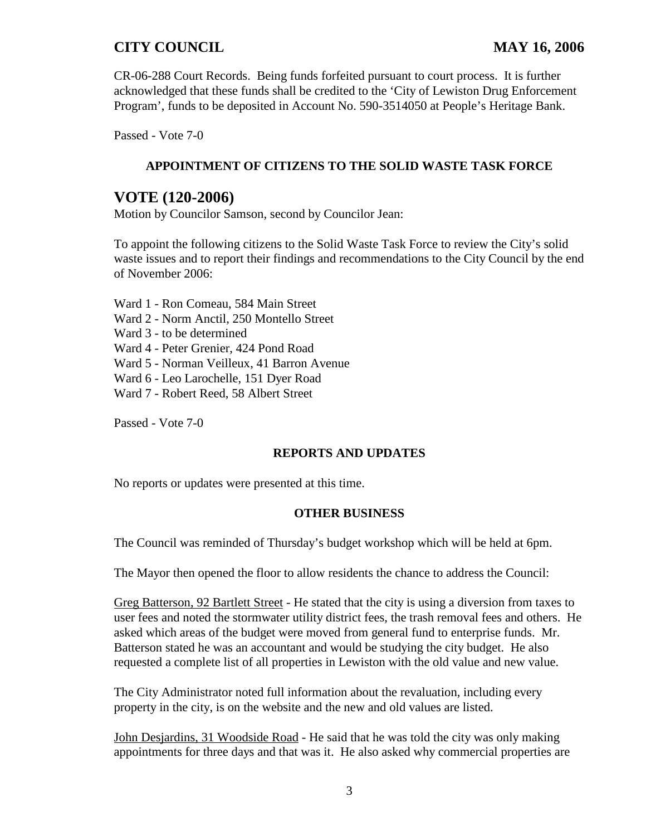CR-06-288 Court Records. Being funds forfeited pursuant to court process. It is further acknowledged that these funds shall be credited to the 'City of Lewiston Drug Enforcement Program', funds to be deposited in Account No. 590-3514050 at People's Heritage Bank.

Passed - Vote 7-0

## **APPOINTMENT OF CITIZENS TO THE SOLID WASTE TASK FORCE**

## **VOTE (120-2006)**

Motion by Councilor Samson, second by Councilor Jean:

To appoint the following citizens to the Solid Waste Task Force to review the City's solid waste issues and to report their findings and recommendations to the City Council by the end of November 2006:

Ward 1 - Ron Comeau, 584 Main Street Ward 2 - Norm Anctil, 250 Montello Street Ward 3 - to be determined Ward 4 - Peter Grenier, 424 Pond Road Ward 5 - Norman Veilleux, 41 Barron Avenue Ward 6 - Leo Larochelle, 151 Dyer Road Ward 7 - Robert Reed, 58 Albert Street

Passed - Vote 7-0

#### **REPORTS AND UPDATES**

No reports or updates were presented at this time.

#### **OTHER BUSINESS**

The Council was reminded of Thursday's budget workshop which will be held at 6pm.

The Mayor then opened the floor to allow residents the chance to address the Council:

Greg Batterson, 92 Bartlett Street - He stated that the city is using a diversion from taxes to user fees and noted the stormwater utility district fees, the trash removal fees and others. He asked which areas of the budget were moved from general fund to enterprise funds. Mr. Batterson stated he was an accountant and would be studying the city budget. He also requested a complete list of all properties in Lewiston with the old value and new value.

The City Administrator noted full information about the revaluation, including every property in the city, is on the website and the new and old values are listed.

John Desjardins, 31 Woodside Road - He said that he was told the city was only making appointments for three days and that was it. He also asked why commercial properties are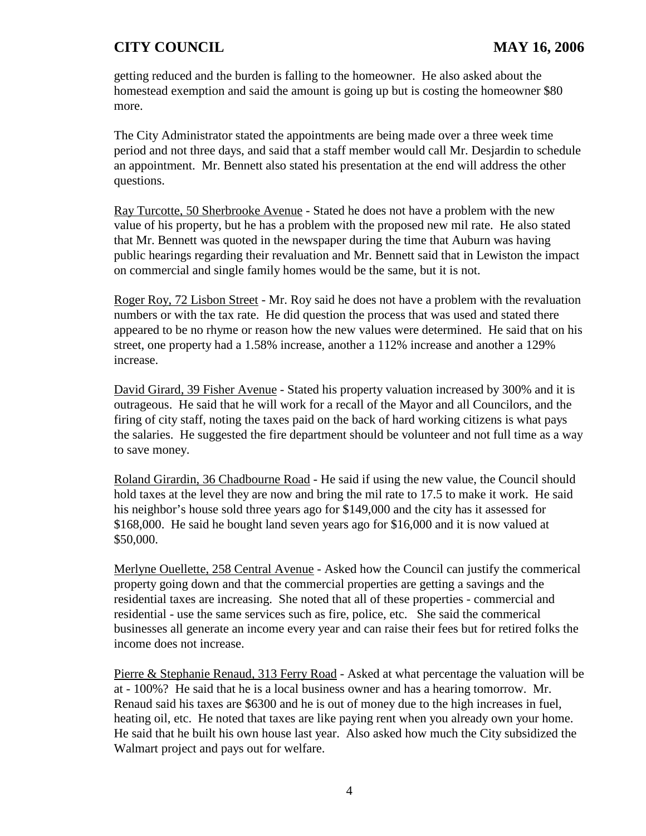getting reduced and the burden is falling to the homeowner. He also asked about the homestead exemption and said the amount is going up but is costing the homeowner \$80 more.

The City Administrator stated the appointments are being made over a three week time period and not three days, and said that a staff member would call Mr. Desjardin to schedule an appointment. Mr. Bennett also stated his presentation at the end will address the other questions.

Ray Turcotte, 50 Sherbrooke Avenue - Stated he does not have a problem with the new value of his property, but he has a problem with the proposed new mil rate. He also stated that Mr. Bennett was quoted in the newspaper during the time that Auburn was having public hearings regarding their revaluation and Mr. Bennett said that in Lewiston the impact on commercial and single family homes would be the same, but it is not.

Roger Roy, 72 Lisbon Street - Mr. Roy said he does not have a problem with the revaluation numbers or with the tax rate. He did question the process that was used and stated there appeared to be no rhyme or reason how the new values were determined. He said that on his street, one property had a 1.58% increase, another a 112% increase and another a 129% increase.

David Girard, 39 Fisher Avenue - Stated his property valuation increased by 300% and it is outrageous. He said that he will work for a recall of the Mayor and all Councilors, and the firing of city staff, noting the taxes paid on the back of hard working citizens is what pays the salaries. He suggested the fire department should be volunteer and not full time as a way to save money.

Roland Girardin, 36 Chadbourne Road - He said if using the new value, the Council should hold taxes at the level they are now and bring the mil rate to 17.5 to make it work. He said his neighbor's house sold three years ago for \$149,000 and the city has it assessed for \$168,000. He said he bought land seven years ago for \$16,000 and it is now valued at \$50,000.

Merlyne Ouellette, 258 Central Avenue - Asked how the Council can justify the commerical property going down and that the commercial properties are getting a savings and the residential taxes are increasing. She noted that all of these properties - commercial and residential - use the same services such as fire, police, etc. She said the commerical businesses all generate an income every year and can raise their fees but for retired folks the income does not increase.

Pierre & Stephanie Renaud, 313 Ferry Road - Asked at what percentage the valuation will be at - 100%? He said that he is a local business owner and has a hearing tomorrow. Mr. Renaud said his taxes are \$6300 and he is out of money due to the high increases in fuel, heating oil, etc. He noted that taxes are like paying rent when you already own your home. He said that he built his own house last year. Also asked how much the City subsidized the Walmart project and pays out for welfare.